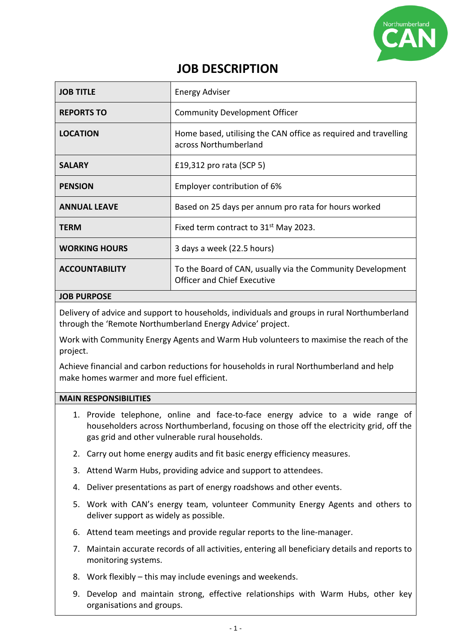

# **JOB DESCRIPTION**

| <b>JOB TITLE</b>      | <b>Energy Adviser</b>                                                                            |
|-----------------------|--------------------------------------------------------------------------------------------------|
| <b>REPORTS TO</b>     | <b>Community Development Officer</b>                                                             |
| <b>LOCATION</b>       | Home based, utilising the CAN office as required and travelling<br>across Northumberland         |
| <b>SALARY</b>         | £19,312 pro rata (SCP 5)                                                                         |
| <b>PENSION</b>        | Employer contribution of 6%                                                                      |
| <b>ANNUAL LEAVE</b>   | Based on 25 days per annum pro rata for hours worked                                             |
| <b>TERM</b>           | Fixed term contract to 31 <sup>st</sup> May 2023.                                                |
| <b>WORKING HOURS</b>  | 3 days a week (22.5 hours)                                                                       |
| <b>ACCOUNTABILITY</b> | To the Board of CAN, usually via the Community Development<br><b>Officer and Chief Executive</b> |
| <b>JOB PURPOSE</b>    |                                                                                                  |

Delivery of advice and support to households, individuals and groups in rural Northumberland through the 'Remote Northumberland Energy Advice' project.

Work with Community Energy Agents and Warm Hub volunteers to maximise the reach of the project.

Achieve financial and carbon reductions for households in rural Northumberland and help make homes warmer and more fuel efficient.

#### **MAIN RESPONSIBILITIES**

- 1. Provide telephone, online and face-to-face energy advice to a wide range of householders across Northumberland, focusing on those off the electricity grid, off the gas grid and other vulnerable rural households.
- 2. Carry out home energy audits and fit basic energy efficiency measures.
- 3. Attend Warm Hubs, providing advice and support to attendees.
- 4. Deliver presentations as part of energy roadshows and other events.
- 5. Work with CAN's energy team, volunteer Community Energy Agents and others to deliver support as widely as possible.
- 6. Attend team meetings and provide regular reports to the line-manager.
- 7. Maintain accurate records of all activities, entering all beneficiary details and reports to monitoring systems.
- 8. Work flexibly this may include evenings and weekends.
- 9. Develop and maintain strong, effective relationships with Warm Hubs, other key organisations and groups.